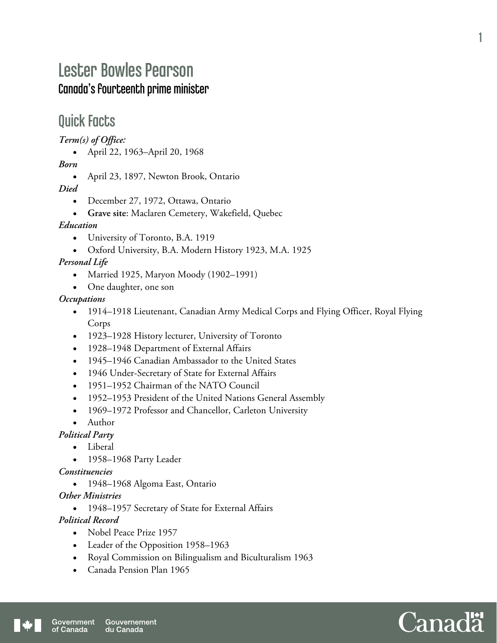## Lester Bowles Pearson Canada's fourteenth prime minister

### Quick Facts

*Term(s) of Office:* 

April 22, 1963–April 20, 1968

*Born* 

• April 23, 1897, Newton Brook, Ontario

*Died* 

- December 27, 1972, Ottawa, Ontario
- **Grave site**: Maclaren Cemetery, Wakefield, Quebec

#### *Education*

- University of Toronto, B.A. 1919
- Oxford University, B.A. Modern History 1923, M.A. 1925

#### *Personal Life*

- Married 1925, Maryon Moody (1902–1991)
- One daughter, one son

#### *Occupations*

- 1914–1918 Lieutenant, Canadian Army Medical Corps and Flying Officer, Royal Flying Corps
- 1923–1928 History lecturer, University of Toronto
- 1928–1948 Department of External Affairs
- 1945–1946 Canadian Ambassador to the United States
- 1946 Under-Secretary of State for External Affairs
- 1951–1952 Chairman of the NATO Council
- 1952–1953 President of the United Nations General Assembly
- 1969–1972 Professor and Chancellor, Carleton University
- Author

#### *Political Party*

- Liberal
- 1958–1968 Party Leader

#### *Constituencies*

• 1948–1968 Algoma East, Ontario

#### *Other Ministries*

1948–1957 Secretary of State for External Affairs

#### *Political Record*

- Nobel Peace Prize 1957
- Leader of the Opposition 1958–1963
- Royal Commission on Bilingualism and Biculturalism 1963
- Canada Pension Plan 1965



1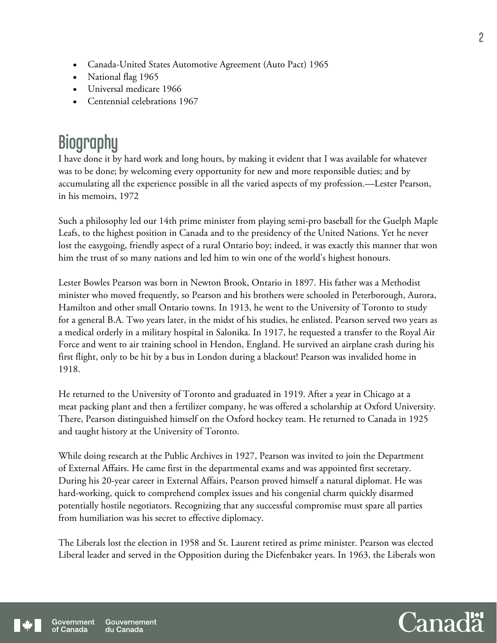- Canada-United States Automotive Agreement (Auto Pact) 1965
- National flag 1965
- Universal medicare 1966
- Centennial celebrations 1967

# **Biography**

I have done it by hard work and long hours, by making it evident that I was available for whatever was to be done; by welcoming every opportunity for new and more responsible duties; and by accumulating all the experience possible in all the varied aspects of my profession.—Lester Pearson, in his memoirs, 1972

Such a philosophy led our 14th prime minister from playing semi-pro baseball for the Guelph Maple Leafs, to the highest position in Canada and to the presidency of the United Nations. Yet he never lost the easygoing, friendly aspect of a rural Ontario boy; indeed, it was exactly this manner that won him the trust of so many nations and led him to win one of the world's highest honours.

Lester Bowles Pearson was born in Newton Brook, Ontario in 1897. His father was a Methodist minister who moved frequently, so Pearson and his brothers were schooled in Peterborough, Aurora, Hamilton and other small Ontario towns. In 1913, he went to the University of Toronto to study for a general B.A. Two years later, in the midst of his studies, he enlisted. Pearson served two years as a medical orderly in a military hospital in Salonika. In 1917, he requested a transfer to the Royal Air Force and went to air training school in Hendon, England. He survived an airplane crash during his first flight, only to be hit by a bus in London during a blackout! Pearson was invalided home in 1918.

He returned to the University of Toronto and graduated in 1919. After a year in Chicago at a meat packing plant and then a fertilizer company, he was offered a scholarship at Oxford University. There, Pearson distinguished himself on the Oxford hockey team. He returned to Canada in 1925 and taught history at the University of Toronto.

While doing research at the Public Archives in 1927, Pearson was invited to join the Department of External Affairs. He came first in the departmental exams and was appointed first secretary. During his 20-year career in External Affairs, Pearson proved himself a natural diplomat. He was hard-working, quick to comprehend complex issues and his congenial charm quickly disarmed potentially hostile negotiators. Recognizing that any successful compromise must spare all parties from humiliation was his secret to effective diplomacy.

The Liberals lost the election in 1958 and St. Laurent retired as prime minister. Pearson was elected Liberal leader and served in the Opposition during the Diefenbaker years. In 1963, the Liberals won

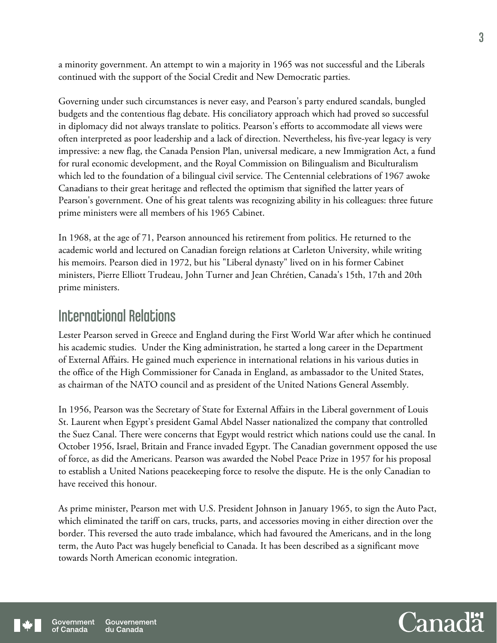a minority government. An attempt to win a majority in 1965 was not successful and the Liberals continued with the support of the Social Credit and New Democratic parties.

Governing under such circumstances is never easy, and Pearson's party endured scandals, bungled budgets and the contentious flag debate. His conciliatory approach which had proved so successful in diplomacy did not always translate to politics. Pearson's efforts to accommodate all views were often interpreted as poor leadership and a lack of direction. Nevertheless, his five-year legacy is very impressive: a new flag, the Canada Pension Plan, universal medicare, a new Immigration Act, a fund for rural economic development, and the Royal Commission on Bilingualism and Biculturalism which led to the foundation of a bilingual civil service. The Centennial celebrations of 1967 awoke Canadians to their great heritage and reflected the optimism that signified the latter years of Pearson's government. One of his great talents was recognizing ability in his colleagues: three future prime ministers were all members of his 1965 Cabinet.

In 1968, at the age of 71, Pearson announced his retirement from politics. He returned to the academic world and lectured on Canadian foreign relations at Carleton University, while writing his memoirs. Pearson died in 1972, but his "Liberal dynasty" lived on in his former Cabinet ministers, Pierre Elliott Trudeau, John Turner and Jean Chrétien, Canada's 15th, 17th and 20th prime ministers.

### International Relations

Lester Pearson served in Greece and England during the First World War after which he continued his academic studies. Under the King administration, he started a long career in the Department of External Affairs. He gained much experience in international relations in his various duties in the office of the High Commissioner for Canada in England, as ambassador to the United States, as chairman of the NATO council and as president of the United Nations General Assembly.

In 1956, Pearson was the Secretary of State for External Affairs in the Liberal government of Louis St. Laurent when Egypt's president Gamal Abdel Nasser nationalized the company that controlled the Suez Canal. There were concerns that Egypt would restrict which nations could use the canal. In October 1956, Israel, Britain and France invaded Egypt. The Canadian government opposed the use of force, as did the Americans. Pearson was awarded the Nobel Peace Prize in 1957 for his proposal to establish a United Nations peacekeeping force to resolve the dispute. He is the only Canadian to have received this honour.

As prime minister, Pearson met with U.S. President Johnson in January 1965, to sign the Auto Pact, which eliminated the tariff on cars, trucks, parts, and accessories moving in either direction over the border. This reversed the auto trade imbalance, which had favoured the Americans, and in the long term, the Auto Pact was hugely beneficial to Canada. It has been described as a significant move towards North American economic integration.

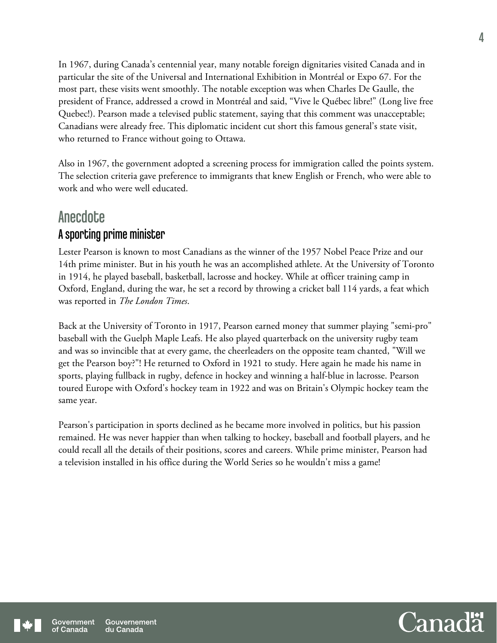In 1967, during Canada's centennial year, many notable foreign dignitaries visited Canada and in particular the site of the Universal and International Exhibition in Montréal or Expo 67. For the most part, these visits went smoothly. The notable exception was when Charles De Gaulle, the president of France, addressed a crowd in Montréal and said, "Vive le Québec libre!" (Long live free Quebec!). Pearson made a televised public statement, saying that this comment was unacceptable; Canadians were already free. This diplomatic incident cut short this famous general's state visit, who returned to France without going to Ottawa.

Also in 1967, the government adopted a screening process for immigration called the points system. The selection criteria gave preference to immigrants that knew English or French, who were able to work and who were well educated.

### **Anecdote** A sporting prime minister

Lester Pearson is known to most Canadians as the winner of the 1957 Nobel Peace Prize and our 14th prime minister. But in his youth he was an accomplished athlete. At the University of Toronto in 1914, he played baseball, basketball, lacrosse and hockey. While at officer training camp in Oxford, England, during the war, he set a record by throwing a cricket ball 114 yards, a feat which was reported in *The London Times*.

Back at the University of Toronto in 1917, Pearson earned money that summer playing "semi-pro" baseball with the Guelph Maple Leafs. He also played quarterback on the university rugby team and was so invincible that at every game, the cheerleaders on the opposite team chanted, "Will we get the Pearson boy?"! He returned to Oxford in 1921 to study. Here again he made his name in sports, playing fullback in rugby, defence in hockey and winning a half-blue in lacrosse. Pearson toured Europe with Oxford's hockey team in 1922 and was on Britain's Olympic hockey team the same year.

Pearson's participation in sports declined as he became more involved in politics, but his passion remained. He was never happier than when talking to hockey, baseball and football players, and he could recall all the details of their positions, scores and careers. While prime minister, Pearson had a television installed in his office during the World Series so he wouldn't miss a game!